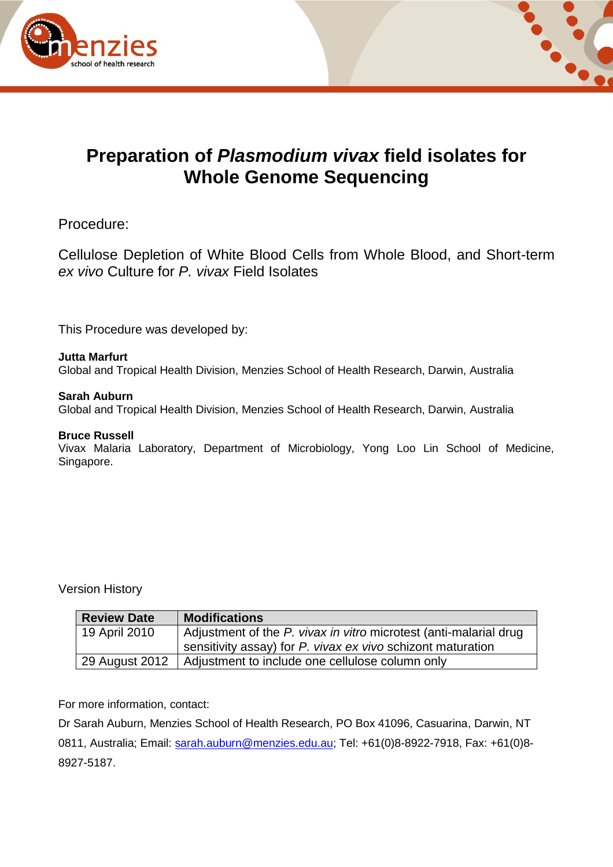



# **Preparation of** *Plasmodium vivax* **field isolates for Whole Genome Sequencing**

Procedure:

Cellulose Depletion of White Blood Cells from Whole Blood, and Short-term *ex vivo* Culture for *P. vivax* Field Isolates

This Procedure was developed by:

### **Jutta Marfurt**

Global and Tropical Health Division, Menzies School of Health Research, Darwin, Australia

### **Sarah Auburn**

Global and Tropical Health Division, Menzies School of Health Research, Darwin, Australia

#### **Bruce Russell**

Vivax Malaria Laboratory, Department of Microbiology, Yong Loo Lin School of Medicine, Singapore.

Version History

| <b>Review Date</b> | <b>Modifications</b>                                              |
|--------------------|-------------------------------------------------------------------|
| 19 April 2010      | Adjustment of the P. vivax in vitro microtest (anti-malarial drug |
|                    | sensitivity assay) for P. vivax ex vivo schizont maturation       |
| 29 August 2012     | Adjustment to include one cellulose column only                   |

For more information, contact:

Dr Sarah Auburn, Menzies School of Health Research, PO Box 41096, Casuarina, Darwin, NT 0811, Australia; Email: [sarah.auburn@menzies.edu.au;](mailto:rprice@menzies.edu.au) Tel: +61(0)8-8922-7918, Fax: +61(0)8-8927-5187.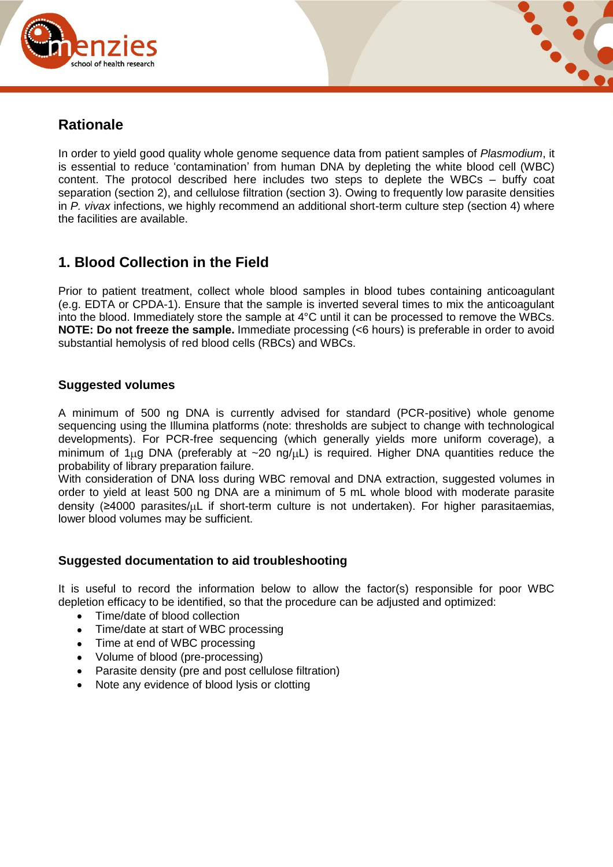



## **Rationale**

In order to yield good quality whole genome sequence data from patient samples of *Plasmodium*, it is essential to reduce 'contamination' from human DNA by depleting the white blood cell (WBC) content. The protocol described here includes two steps to deplete the WBCs – buffy coat separation (section 2), and cellulose filtration (section 3). Owing to frequently low parasite densities in *P. vivax* infections, we highly recommend an additional short-term culture step (section 4) where the facilities are available.

## **1. Blood Collection in the Field**

Prior to patient treatment, collect whole blood samples in blood tubes containing anticoagulant (e.g. EDTA or CPDA-1). Ensure that the sample is inverted several times to mix the anticoagulant into the blood. Immediately store the sample at 4°C until it can be processed to remove the WBCs. **NOTE: Do not freeze the sample.** Immediate processing (<6 hours) is preferable in order to avoid substantial hemolysis of red blood cells (RBCs) and WBCs.

### **Suggested volumes**

A minimum of 500 ng DNA is currently advised for standard (PCR-positive) whole genome sequencing using the Illumina platforms (note: thresholds are subject to change with technological developments). For PCR-free sequencing (which generally yields more uniform coverage), a minimum of 1 $\mu$ g DNA (preferably at ~20 ng/ $\mu$ L) is required. Higher DNA quantities reduce the probability of library preparation failure.

With consideration of DNA loss during WBC removal and DNA extraction, suggested volumes in order to yield at least 500 ng DNA are a minimum of 5 mL whole blood with moderate parasite density ( $\geq 4000$  parasites/ $\mu$ L if short-term culture is not undertaken). For higher parasitaemias, lower blood volumes may be sufficient.

### **Suggested documentation to aid troubleshooting**

It is useful to record the information below to allow the factor(s) responsible for poor WBC depletion efficacy to be identified, so that the procedure can be adjusted and optimized:

- Time/date of blood collection
- Time/date at start of WBC processing
- Time at end of WBC processing
- Volume of blood (pre-processing)
- Parasite density (pre and post cellulose filtration)
- Note any evidence of blood lysis or clotting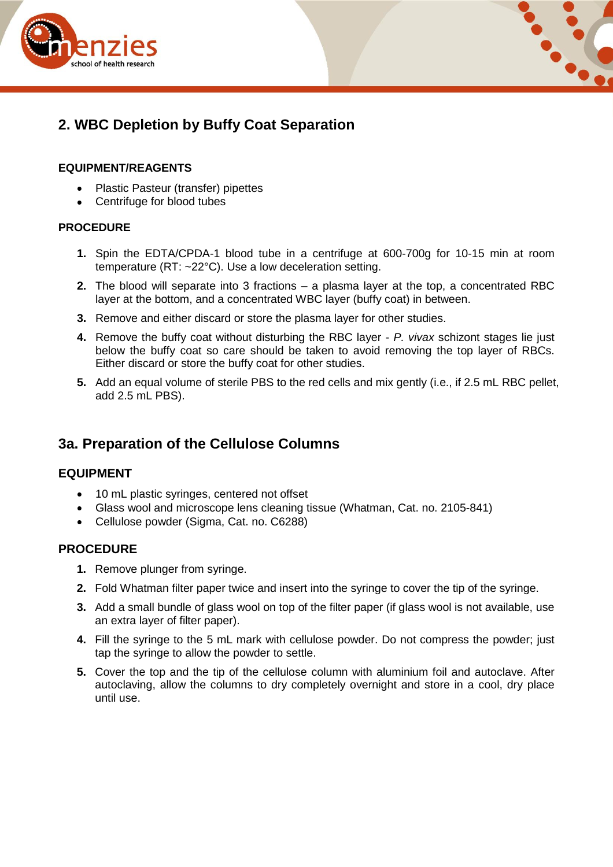



# **2. WBC Depletion by Buffy Coat Separation**

### **EQUIPMENT/REAGENTS**

- Plastic Pasteur (transfer) pipettes
- Centrifuge for blood tubes

### **PROCEDURE**

- **1.** Spin the EDTA/CPDA-1 blood tube in a centrifuge at 600-700g for 10-15 min at room temperature (RT: ~22°C). Use a low deceleration setting.
- **2.** The blood will separate into 3 fractions a plasma layer at the top, a concentrated RBC layer at the bottom, and a concentrated WBC layer (buffy coat) in between.
- **3.** Remove and either discard or store the plasma layer for other studies.
- **4.** Remove the buffy coat without disturbing the RBC layer *P. vivax* schizont stages lie just below the buffy coat so care should be taken to avoid removing the top layer of RBCs. Either discard or store the buffy coat for other studies.
- **5.** Add an equal volume of sterile PBS to the red cells and mix gently (i.e., if 2.5 mL RBC pellet, add 2.5 mL PBS).

## **3a. Preparation of the Cellulose Columns**

## **EQUIPMENT**

- 10 mL plastic syringes, centered not offset
- Glass wool and microscope lens cleaning tissue (Whatman, Cat. no. 2105-841)
- Cellulose powder (Sigma, Cat. no. C6288)

## **PROCEDURE**

- **1.** Remove plunger from syringe.
- **2.** Fold Whatman filter paper twice and insert into the syringe to cover the tip of the syringe.
- **3.** Add a small bundle of glass wool on top of the filter paper (if glass wool is not available, use an extra layer of filter paper).
- **4.** Fill the syringe to the 5 mL mark with cellulose powder. Do not compress the powder; just tap the syringe to allow the powder to settle.
- **5.** Cover the top and the tip of the cellulose column with aluminium foil and autoclave. After autoclaving, allow the columns to dry completely overnight and store in a cool, dry place until use.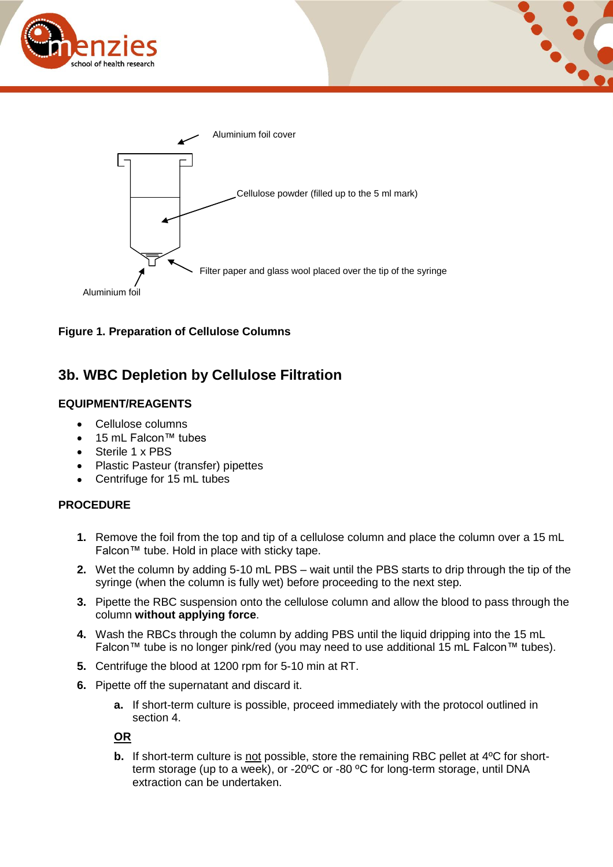







## **3b. WBC Depletion by Cellulose Filtration**

### **EQUIPMENT/REAGENTS**

- $\bullet$ Cellulose columns
- 15 mL Falcon™ tubes
- $\bullet$ Sterile 1 x PBS
- Plastic Pasteur (transfer) pipettes  $\bullet$
- Centrifuge for 15 mL tubes  $\bullet$

### **PROCEDURE**

- **1.** Remove the foil from the top and tip of a cellulose column and place the column over a 15 mL Falcon™ tube. Hold in place with sticky tape.
- **2.** Wet the column by adding 5-10 mL PBS wait until the PBS starts to drip through the tip of the syringe (when the column is fully wet) before proceeding to the next step.
- **3.** Pipette the RBC suspension onto the cellulose column and allow the blood to pass through the column **without applying force**.
- **4.** Wash the RBCs through the column by adding PBS until the liquid dripping into the 15 mL Falcon™ tube is no longer pink/red (you may need to use additional 15 mL Falcon™ tubes).
- **5.** Centrifuge the blood at 1200 rpm for 5-10 min at RT.
- **6.** Pipette off the supernatant and discard it.
	- **a.** If short-term culture is possible, proceed immediately with the protocol outlined in section 4.

### **OR**

**b.** If short-term culture is not possible, store the remaining RBC pellet at 4<sup>o</sup>C for shortterm storage (up to a week), or -20ºC or -80 ºC for long-term storage, until DNA extraction can be undertaken.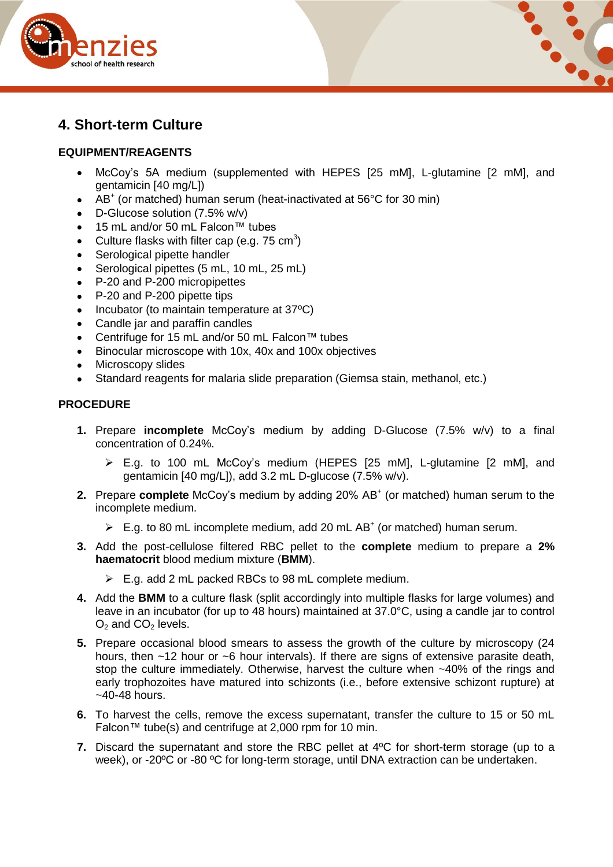



## **4. Short-term Culture**

### **EQUIPMENT/REAGENTS**

- $\bullet$ McCoy's 5A medium (supplemented with HEPES [25 mM], L-glutamine [2 mM], and gentamicin [40 mg/L])
- AB<sup>+</sup> (or matched) human serum (heat-inactivated at 56°C for 30 min)
- D-Glucose solution (7.5% w/v)
- 15 mL and/or 50 mL Falcon™ tubes
- Culture flasks with filter cap (e.g. 75 cm<sup>3</sup>)
- Serological pipette handler  $\bullet$
- Serological pipettes (5 mL, 10 mL, 25 mL)  $\bullet$
- $\bullet$ P-20 and P-200 micropipettes
- P-20 and P-200 pipette tips  $\bullet$
- $\bullet$  Incubator (to maintain temperature at 37 $^{\circ}$ C)
- Candle jar and paraffin candles  $\bullet$
- Centrifuge for 15 mL and/or 50 mL Falcon™ tubes
- $\bullet$ Binocular microscope with 10x, 40x and 100x objectives
- Microscopy slides  $\bullet$
- Standard reagents for malaria slide preparation (Giemsa stain, methanol, etc.)

#### **PROCEDURE**

- **1.** Prepare **incomplete** McCoy's medium by adding D-Glucose (7.5% w/v) to a final concentration of 0.24%.
	- E.g. to 100 mL McCoy's medium (HEPES [25 mM], L-glutamine [2 mM], and gentamicin [40 mg/L]), add 3.2 mL D-glucose (7.5% w/v).
- **2.** Prepare **complete** McCoy's medium by adding 20% AB<sup>+</sup> (or matched) human serum to the incomplete medium.
	- $\triangleright$  E.g. to 80 mL incomplete medium, add 20 mL AB<sup>+</sup> (or matched) human serum.
- **3.** Add the post-cellulose filtered RBC pellet to the **complete** medium to prepare a **2% haematocrit** blood medium mixture (**BMM**).
	- $\triangleright$  E.g. add 2 mL packed RBCs to 98 mL complete medium.
- **4.** Add the **BMM** to a culture flask (split accordingly into multiple flasks for large volumes) and leave in an incubator (for up to 48 hours) maintained at 37.0°C, using a candle jar to control  $O_2$  and  $CO_2$  levels.
- **5.** Prepare occasional blood smears to assess the growth of the culture by microscopy (24 hours, then ~12 hour or ~6 hour intervals). If there are signs of extensive parasite death, stop the culture immediately. Otherwise, harvest the culture when ~40% of the rings and early trophozoites have matured into schizonts (i.e., before extensive schizont rupture) at  $-40-48$  hours.
- **6.** To harvest the cells, remove the excess supernatant, transfer the culture to 15 or 50 mL Falcon™ tube(s) and centrifuge at 2,000 rpm for 10 min.
- **7.** Discard the supernatant and store the RBC pellet at 4ºC for short-term storage (up to a week), or -20ºC or -80 ºC for long-term storage, until DNA extraction can be undertaken.